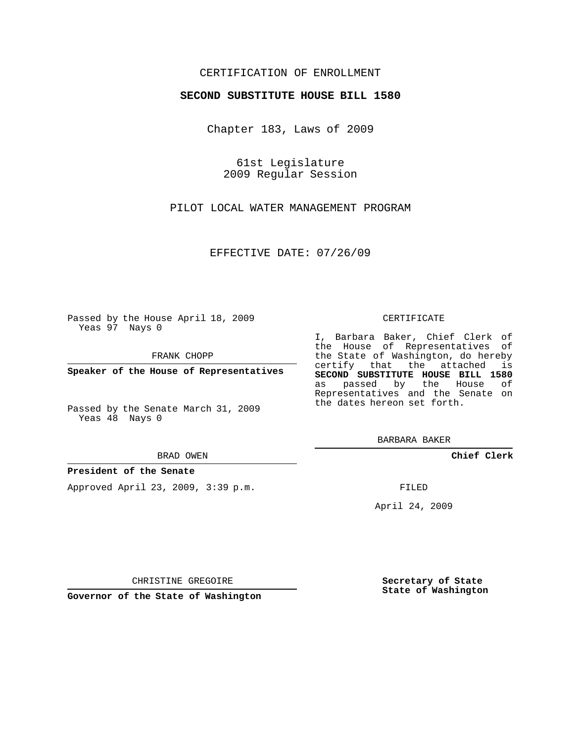## CERTIFICATION OF ENROLLMENT

## **SECOND SUBSTITUTE HOUSE BILL 1580**

Chapter 183, Laws of 2009

61st Legislature 2009 Regular Session

PILOT LOCAL WATER MANAGEMENT PROGRAM

EFFECTIVE DATE: 07/26/09

Passed by the House April 18, 2009 Yeas 97 Nays 0

FRANK CHOPP

**Speaker of the House of Representatives**

Passed by the Senate March 31, 2009 Yeas 48 Nays 0

#### BRAD OWEN

### **President of the Senate**

Approved April 23, 2009, 3:39 p.m.

#### CERTIFICATE

I, Barbara Baker, Chief Clerk of the House of Representatives of the State of Washington, do hereby certify that the attached is **SECOND SUBSTITUTE HOUSE BILL 1580** as passed by the House of Representatives and the Senate on the dates hereon set forth.

BARBARA BAKER

**Chief Clerk**

FILED

April 24, 2009

CHRISTINE GREGOIRE

**Governor of the State of Washington**

**Secretary of State State of Washington**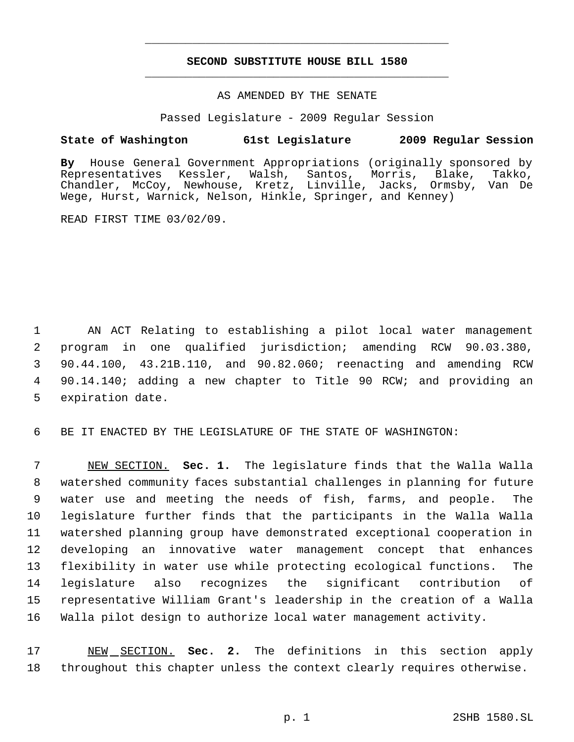# **SECOND SUBSTITUTE HOUSE BILL 1580** \_\_\_\_\_\_\_\_\_\_\_\_\_\_\_\_\_\_\_\_\_\_\_\_\_\_\_\_\_\_\_\_\_\_\_\_\_\_\_\_\_\_\_\_\_

\_\_\_\_\_\_\_\_\_\_\_\_\_\_\_\_\_\_\_\_\_\_\_\_\_\_\_\_\_\_\_\_\_\_\_\_\_\_\_\_\_\_\_\_\_

## AS AMENDED BY THE SENATE

Passed Legislature - 2009 Regular Session

## **State of Washington 61st Legislature 2009 Regular Session**

**By** House General Government Appropriations (originally sponsored by Representatives Kessler, Walsh, Santos, Morris, Blake, Takko, Chandler, McCoy, Newhouse, Kretz, Linville, Jacks, Ormsby, Van De Wege, Hurst, Warnick, Nelson, Hinkle, Springer, and Kenney)

READ FIRST TIME 03/02/09.

 AN ACT Relating to establishing a pilot local water management program in one qualified jurisdiction; amending RCW 90.03.380, 90.44.100, 43.21B.110, and 90.82.060; reenacting and amending RCW 90.14.140; adding a new chapter to Title 90 RCW; and providing an expiration date.

6 BE IT ENACTED BY THE LEGISLATURE OF THE STATE OF WASHINGTON:

 NEW SECTION. **Sec. 1.** The legislature finds that the Walla Walla watershed community faces substantial challenges in planning for future water use and meeting the needs of fish, farms, and people. The legislature further finds that the participants in the Walla Walla watershed planning group have demonstrated exceptional cooperation in developing an innovative water management concept that enhances flexibility in water use while protecting ecological functions. The legislature also recognizes the significant contribution of representative William Grant's leadership in the creation of a Walla Walla pilot design to authorize local water management activity.

17 NEW SECTION. **Sec. 2.** The definitions in this section apply 18 throughout this chapter unless the context clearly requires otherwise.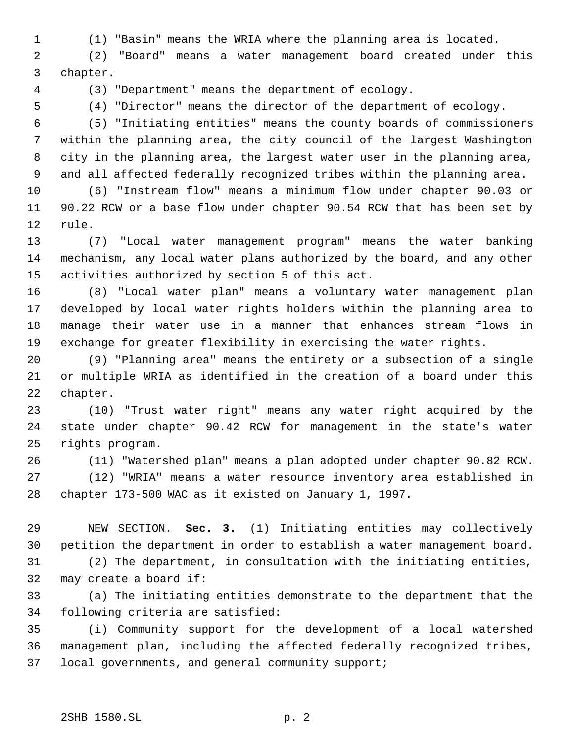(1) "Basin" means the WRIA where the planning area is located.

 (2) "Board" means a water management board created under this chapter.

(3) "Department" means the department of ecology.

(4) "Director" means the director of the department of ecology.

 (5) "Initiating entities" means the county boards of commissioners within the planning area, the city council of the largest Washington city in the planning area, the largest water user in the planning area, and all affected federally recognized tribes within the planning area.

 (6) "Instream flow" means a minimum flow under chapter 90.03 or 90.22 RCW or a base flow under chapter 90.54 RCW that has been set by rule.

 (7) "Local water management program" means the water banking mechanism, any local water plans authorized by the board, and any other activities authorized by section 5 of this act.

 (8) "Local water plan" means a voluntary water management plan developed by local water rights holders within the planning area to manage their water use in a manner that enhances stream flows in exchange for greater flexibility in exercising the water rights.

 (9) "Planning area" means the entirety or a subsection of a single or multiple WRIA as identified in the creation of a board under this chapter.

 (10) "Trust water right" means any water right acquired by the state under chapter 90.42 RCW for management in the state's water rights program.

 (11) "Watershed plan" means a plan adopted under chapter 90.82 RCW. (12) "WRIA" means a water resource inventory area established in chapter 173-500 WAC as it existed on January 1, 1997.

 NEW SECTION. **Sec. 3.** (1) Initiating entities may collectively petition the department in order to establish a water management board.

 (2) The department, in consultation with the initiating entities, may create a board if:

 (a) The initiating entities demonstrate to the department that the following criteria are satisfied:

 (i) Community support for the development of a local watershed management plan, including the affected federally recognized tribes, local governments, and general community support;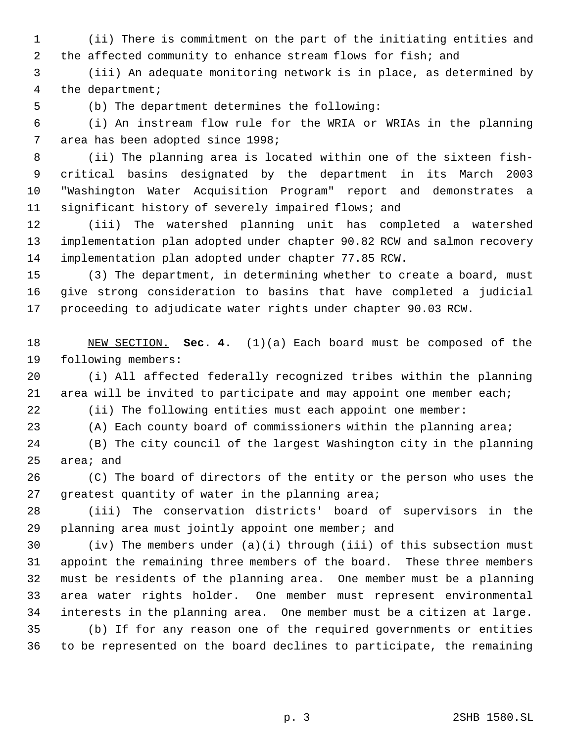(ii) There is commitment on the part of the initiating entities and 2 the affected community to enhance stream flows for fish; and

 (iii) An adequate monitoring network is in place, as determined by the department;

(b) The department determines the following:

 (i) An instream flow rule for the WRIA or WRIAs in the planning area has been adopted since 1998;

 (ii) The planning area is located within one of the sixteen fish- critical basins designated by the department in its March 2003 "Washington Water Acquisition Program" report and demonstrates a significant history of severely impaired flows; and

 (iii) The watershed planning unit has completed a watershed implementation plan adopted under chapter 90.82 RCW and salmon recovery implementation plan adopted under chapter 77.85 RCW.

 (3) The department, in determining whether to create a board, must give strong consideration to basins that have completed a judicial proceeding to adjudicate water rights under chapter 90.03 RCW.

 NEW SECTION. **Sec. 4.** (1)(a) Each board must be composed of the following members:

 (i) All affected federally recognized tribes within the planning area will be invited to participate and may appoint one member each;

(ii) The following entities must each appoint one member:

(A) Each county board of commissioners within the planning area;

 (B) The city council of the largest Washington city in the planning area; and

 (C) The board of directors of the entity or the person who uses the greatest quantity of water in the planning area;

 (iii) The conservation districts' board of supervisors in the planning area must jointly appoint one member; and

 (iv) The members under (a)(i) through (iii) of this subsection must appoint the remaining three members of the board. These three members must be residents of the planning area. One member must be a planning area water rights holder. One member must represent environmental interests in the planning area. One member must be a citizen at large. (b) If for any reason one of the required governments or entities to be represented on the board declines to participate, the remaining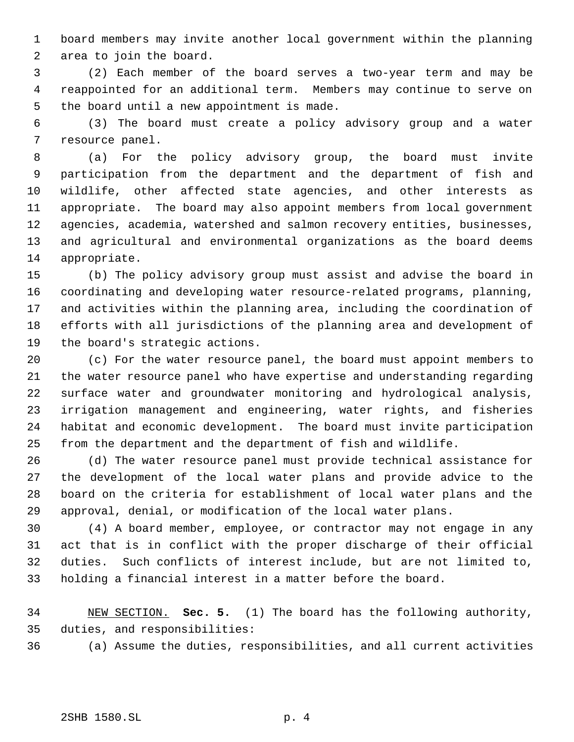board members may invite another local government within the planning area to join the board.

 (2) Each member of the board serves a two-year term and may be reappointed for an additional term. Members may continue to serve on the board until a new appointment is made.

 (3) The board must create a policy advisory group and a water resource panel.

 (a) For the policy advisory group, the board must invite participation from the department and the department of fish and wildlife, other affected state agencies, and other interests as appropriate. The board may also appoint members from local government agencies, academia, watershed and salmon recovery entities, businesses, and agricultural and environmental organizations as the board deems appropriate.

 (b) The policy advisory group must assist and advise the board in coordinating and developing water resource-related programs, planning, and activities within the planning area, including the coordination of efforts with all jurisdictions of the planning area and development of the board's strategic actions.

 (c) For the water resource panel, the board must appoint members to the water resource panel who have expertise and understanding regarding surface water and groundwater monitoring and hydrological analysis, irrigation management and engineering, water rights, and fisheries habitat and economic development. The board must invite participation from the department and the department of fish and wildlife.

 (d) The water resource panel must provide technical assistance for the development of the local water plans and provide advice to the board on the criteria for establishment of local water plans and the approval, denial, or modification of the local water plans.

 (4) A board member, employee, or contractor may not engage in any act that is in conflict with the proper discharge of their official duties. Such conflicts of interest include, but are not limited to, holding a financial interest in a matter before the board.

 NEW SECTION. **Sec. 5.** (1) The board has the following authority, duties, and responsibilities:

(a) Assume the duties, responsibilities, and all current activities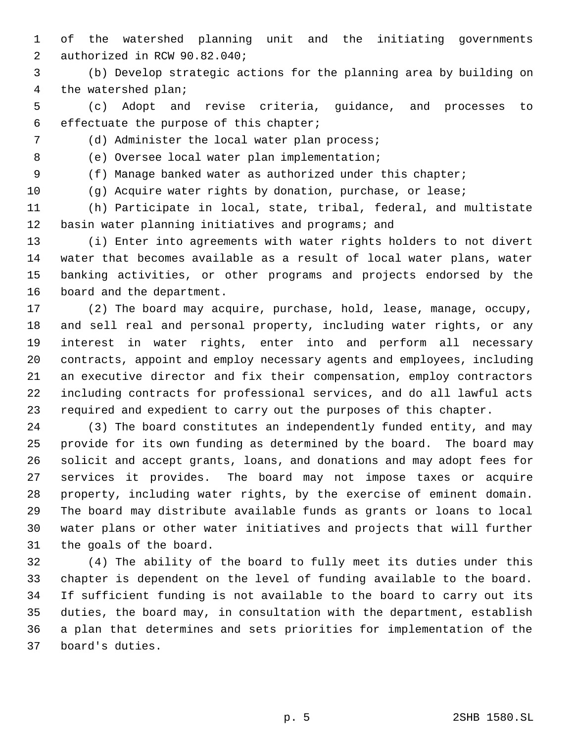of the watershed planning unit and the initiating governments authorized in RCW 90.82.040;

 (b) Develop strategic actions for the planning area by building on the watershed plan;

 (c) Adopt and revise criteria, guidance, and processes to effectuate the purpose of this chapter;

(d) Administer the local water plan process;

(e) Oversee local water plan implementation;

(f) Manage banked water as authorized under this chapter;

(g) Acquire water rights by donation, purchase, or lease;

 (h) Participate in local, state, tribal, federal, and multistate basin water planning initiatives and programs; and

 (i) Enter into agreements with water rights holders to not divert water that becomes available as a result of local water plans, water banking activities, or other programs and projects endorsed by the board and the department.

 (2) The board may acquire, purchase, hold, lease, manage, occupy, and sell real and personal property, including water rights, or any interest in water rights, enter into and perform all necessary contracts, appoint and employ necessary agents and employees, including an executive director and fix their compensation, employ contractors including contracts for professional services, and do all lawful acts required and expedient to carry out the purposes of this chapter.

 (3) The board constitutes an independently funded entity, and may provide for its own funding as determined by the board. The board may solicit and accept grants, loans, and donations and may adopt fees for services it provides. The board may not impose taxes or acquire property, including water rights, by the exercise of eminent domain. The board may distribute available funds as grants or loans to local water plans or other water initiatives and projects that will further the goals of the board.

 (4) The ability of the board to fully meet its duties under this chapter is dependent on the level of funding available to the board. If sufficient funding is not available to the board to carry out its duties, the board may, in consultation with the department, establish a plan that determines and sets priorities for implementation of the board's duties.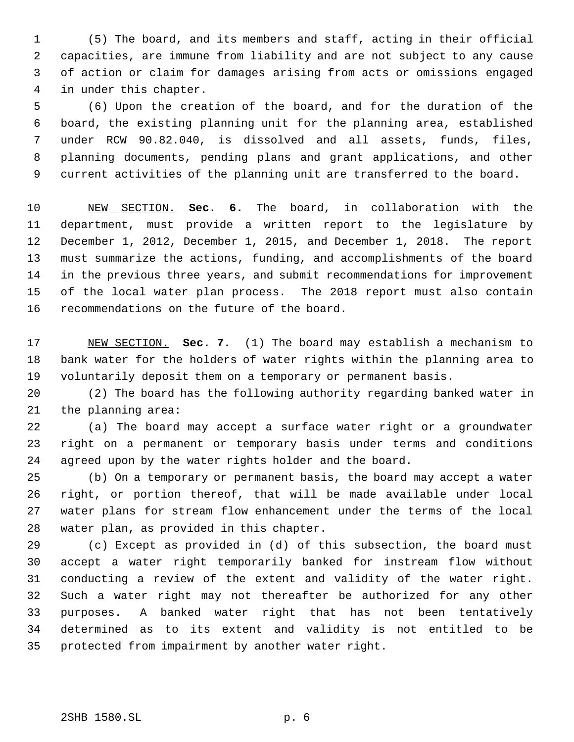(5) The board, and its members and staff, acting in their official capacities, are immune from liability and are not subject to any cause of action or claim for damages arising from acts or omissions engaged in under this chapter.

 (6) Upon the creation of the board, and for the duration of the board, the existing planning unit for the planning area, established under RCW 90.82.040, is dissolved and all assets, funds, files, planning documents, pending plans and grant applications, and other current activities of the planning unit are transferred to the board.

 NEW SECTION. **Sec. 6.** The board, in collaboration with the department, must provide a written report to the legislature by December 1, 2012, December 1, 2015, and December 1, 2018. The report must summarize the actions, funding, and accomplishments of the board in the previous three years, and submit recommendations for improvement of the local water plan process. The 2018 report must also contain recommendations on the future of the board.

 NEW SECTION. **Sec. 7.** (1) The board may establish a mechanism to bank water for the holders of water rights within the planning area to voluntarily deposit them on a temporary or permanent basis.

 (2) The board has the following authority regarding banked water in the planning area:

 (a) The board may accept a surface water right or a groundwater right on a permanent or temporary basis under terms and conditions agreed upon by the water rights holder and the board.

 (b) On a temporary or permanent basis, the board may accept a water right, or portion thereof, that will be made available under local water plans for stream flow enhancement under the terms of the local water plan, as provided in this chapter.

 (c) Except as provided in (d) of this subsection, the board must accept a water right temporarily banked for instream flow without conducting a review of the extent and validity of the water right. Such a water right may not thereafter be authorized for any other purposes. A banked water right that has not been tentatively determined as to its extent and validity is not entitled to be protected from impairment by another water right.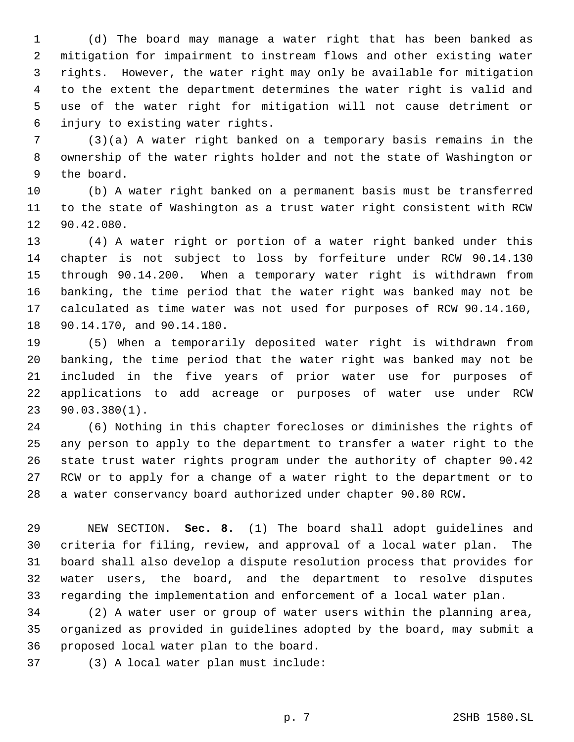(d) The board may manage a water right that has been banked as mitigation for impairment to instream flows and other existing water rights. However, the water right may only be available for mitigation to the extent the department determines the water right is valid and use of the water right for mitigation will not cause detriment or injury to existing water rights.

 (3)(a) A water right banked on a temporary basis remains in the ownership of the water rights holder and not the state of Washington or the board.

 (b) A water right banked on a permanent basis must be transferred to the state of Washington as a trust water right consistent with RCW 90.42.080.

 (4) A water right or portion of a water right banked under this chapter is not subject to loss by forfeiture under RCW 90.14.130 through 90.14.200. When a temporary water right is withdrawn from banking, the time period that the water right was banked may not be calculated as time water was not used for purposes of RCW 90.14.160, 90.14.170, and 90.14.180.

 (5) When a temporarily deposited water right is withdrawn from banking, the time period that the water right was banked may not be included in the five years of prior water use for purposes of applications to add acreage or purposes of water use under RCW 90.03.380(1).

 (6) Nothing in this chapter forecloses or diminishes the rights of any person to apply to the department to transfer a water right to the state trust water rights program under the authority of chapter 90.42 RCW or to apply for a change of a water right to the department or to a water conservancy board authorized under chapter 90.80 RCW.

 NEW SECTION. **Sec. 8.** (1) The board shall adopt guidelines and criteria for filing, review, and approval of a local water plan. The board shall also develop a dispute resolution process that provides for water users, the board, and the department to resolve disputes regarding the implementation and enforcement of a local water plan.

 (2) A water user or group of water users within the planning area, organized as provided in guidelines adopted by the board, may submit a proposed local water plan to the board.

(3) A local water plan must include: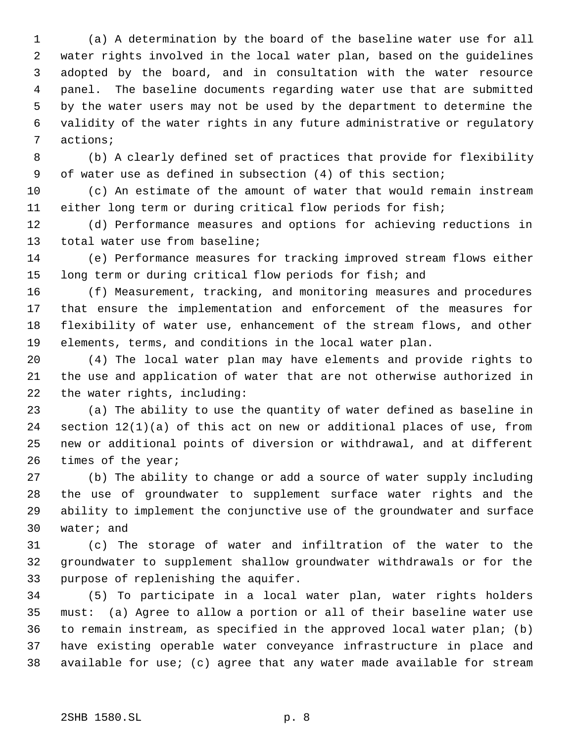(a) A determination by the board of the baseline water use for all water rights involved in the local water plan, based on the guidelines adopted by the board, and in consultation with the water resource panel. The baseline documents regarding water use that are submitted by the water users may not be used by the department to determine the validity of the water rights in any future administrative or regulatory actions;

 (b) A clearly defined set of practices that provide for flexibility of water use as defined in subsection (4) of this section;

 (c) An estimate of the amount of water that would remain instream either long term or during critical flow periods for fish;

 (d) Performance measures and options for achieving reductions in total water use from baseline;

 (e) Performance measures for tracking improved stream flows either long term or during critical flow periods for fish; and

 (f) Measurement, tracking, and monitoring measures and procedures that ensure the implementation and enforcement of the measures for flexibility of water use, enhancement of the stream flows, and other elements, terms, and conditions in the local water plan.

 (4) The local water plan may have elements and provide rights to the use and application of water that are not otherwise authorized in the water rights, including:

 (a) The ability to use the quantity of water defined as baseline in section 12(1)(a) of this act on new or additional places of use, from new or additional points of diversion or withdrawal, and at different times of the year;

 (b) The ability to change or add a source of water supply including the use of groundwater to supplement surface water rights and the ability to implement the conjunctive use of the groundwater and surface water; and

 (c) The storage of water and infiltration of the water to the groundwater to supplement shallow groundwater withdrawals or for the purpose of replenishing the aquifer.

 (5) To participate in a local water plan, water rights holders must: (a) Agree to allow a portion or all of their baseline water use to remain instream, as specified in the approved local water plan; (b) have existing operable water conveyance infrastructure in place and available for use; (c) agree that any water made available for stream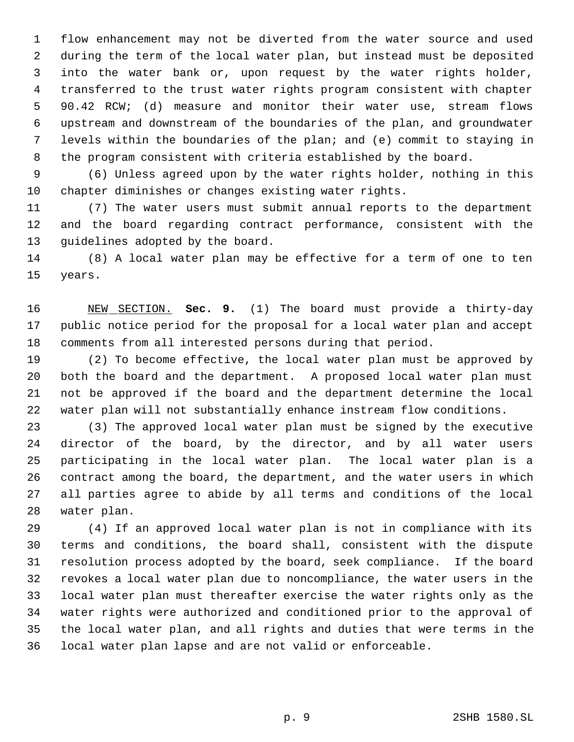flow enhancement may not be diverted from the water source and used during the term of the local water plan, but instead must be deposited into the water bank or, upon request by the water rights holder, transferred to the trust water rights program consistent with chapter 90.42 RCW; (d) measure and monitor their water use, stream flows upstream and downstream of the boundaries of the plan, and groundwater levels within the boundaries of the plan; and (e) commit to staying in the program consistent with criteria established by the board.

 (6) Unless agreed upon by the water rights holder, nothing in this chapter diminishes or changes existing water rights.

 (7) The water users must submit annual reports to the department and the board regarding contract performance, consistent with the guidelines adopted by the board.

 (8) A local water plan may be effective for a term of one to ten years.

 NEW SECTION. **Sec. 9.** (1) The board must provide a thirty-day public notice period for the proposal for a local water plan and accept comments from all interested persons during that period.

 (2) To become effective, the local water plan must be approved by both the board and the department. A proposed local water plan must not be approved if the board and the department determine the local water plan will not substantially enhance instream flow conditions.

 (3) The approved local water plan must be signed by the executive director of the board, by the director, and by all water users participating in the local water plan. The local water plan is a contract among the board, the department, and the water users in which all parties agree to abide by all terms and conditions of the local water plan.

 (4) If an approved local water plan is not in compliance with its terms and conditions, the board shall, consistent with the dispute resolution process adopted by the board, seek compliance. If the board revokes a local water plan due to noncompliance, the water users in the local water plan must thereafter exercise the water rights only as the water rights were authorized and conditioned prior to the approval of the local water plan, and all rights and duties that were terms in the local water plan lapse and are not valid or enforceable.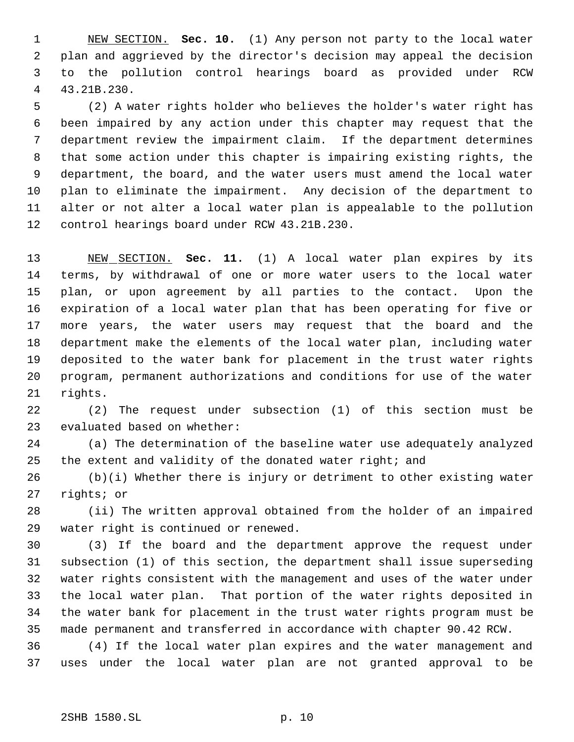NEW SECTION. **Sec. 10.** (1) Any person not party to the local water plan and aggrieved by the director's decision may appeal the decision to the pollution control hearings board as provided under RCW 43.21B.230.

 (2) A water rights holder who believes the holder's water right has been impaired by any action under this chapter may request that the department review the impairment claim. If the department determines that some action under this chapter is impairing existing rights, the department, the board, and the water users must amend the local water plan to eliminate the impairment. Any decision of the department to alter or not alter a local water plan is appealable to the pollution control hearings board under RCW 43.21B.230.

 NEW SECTION. **Sec. 11.** (1) A local water plan expires by its terms, by withdrawal of one or more water users to the local water plan, or upon agreement by all parties to the contact. Upon the expiration of a local water plan that has been operating for five or more years, the water users may request that the board and the department make the elements of the local water plan, including water deposited to the water bank for placement in the trust water rights program, permanent authorizations and conditions for use of the water rights.

 (2) The request under subsection (1) of this section must be evaluated based on whether:

 (a) The determination of the baseline water use adequately analyzed the extent and validity of the donated water right; and

 (b)(i) Whether there is injury or detriment to other existing water rights; or

 (ii) The written approval obtained from the holder of an impaired water right is continued or renewed.

 (3) If the board and the department approve the request under subsection (1) of this section, the department shall issue superseding water rights consistent with the management and uses of the water under the local water plan. That portion of the water rights deposited in the water bank for placement in the trust water rights program must be made permanent and transferred in accordance with chapter 90.42 RCW.

 (4) If the local water plan expires and the water management and uses under the local water plan are not granted approval to be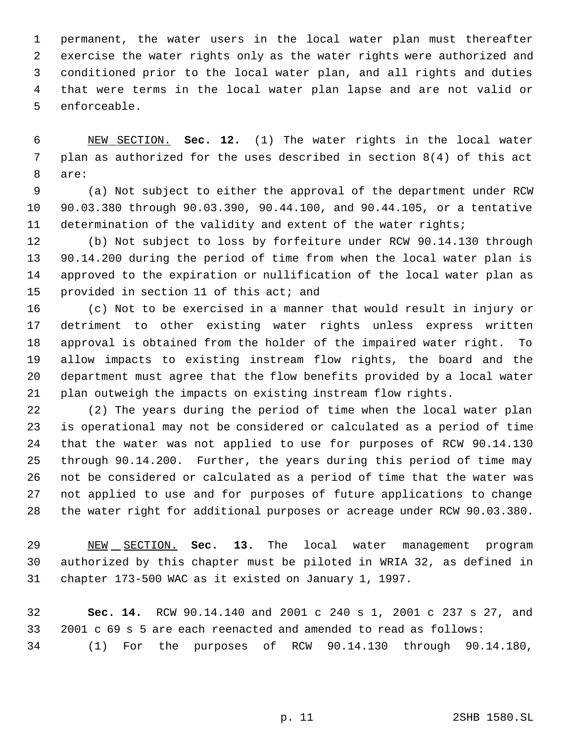permanent, the water users in the local water plan must thereafter exercise the water rights only as the water rights were authorized and conditioned prior to the local water plan, and all rights and duties that were terms in the local water plan lapse and are not valid or enforceable.

 NEW SECTION. **Sec. 12.** (1) The water rights in the local water plan as authorized for the uses described in section 8(4) of this act are:

 (a) Not subject to either the approval of the department under RCW 90.03.380 through 90.03.390, 90.44.100, and 90.44.105, or a tentative determination of the validity and extent of the water rights;

 (b) Not subject to loss by forfeiture under RCW 90.14.130 through 90.14.200 during the period of time from when the local water plan is approved to the expiration or nullification of the local water plan as 15 provided in section 11 of this act; and

 (c) Not to be exercised in a manner that would result in injury or detriment to other existing water rights unless express written approval is obtained from the holder of the impaired water right. To allow impacts to existing instream flow rights, the board and the department must agree that the flow benefits provided by a local water plan outweigh the impacts on existing instream flow rights.

 (2) The years during the period of time when the local water plan is operational may not be considered or calculated as a period of time that the water was not applied to use for purposes of RCW 90.14.130 through 90.14.200. Further, the years during this period of time may not be considered or calculated as a period of time that the water was not applied to use and for purposes of future applications to change the water right for additional purposes or acreage under RCW 90.03.380.

 NEW SECTION. **Sec. 13.** The local water management program authorized by this chapter must be piloted in WRIA 32, as defined in chapter 173-500 WAC as it existed on January 1, 1997.

 **Sec. 14.** RCW 90.14.140 and 2001 c 240 s 1, 2001 c 237 s 27, and 2001 c 69 s 5 are each reenacted and amended to read as follows: (1) For the purposes of RCW 90.14.130 through 90.14.180,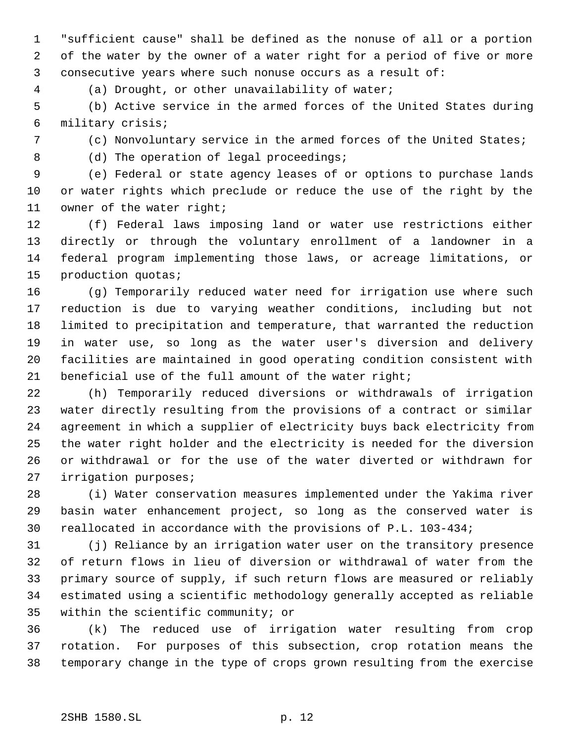"sufficient cause" shall be defined as the nonuse of all or a portion of the water by the owner of a water right for a period of five or more consecutive years where such nonuse occurs as a result of:

(a) Drought, or other unavailability of water;

 (b) Active service in the armed forces of the United States during military crisis;

(c) Nonvoluntary service in the armed forces of the United States;

8 (d) The operation of legal proceedings;

 (e) Federal or state agency leases of or options to purchase lands or water rights which preclude or reduce the use of the right by the owner of the water right;

 (f) Federal laws imposing land or water use restrictions either directly or through the voluntary enrollment of a landowner in a federal program implementing those laws, or acreage limitations, or production quotas;

 (g) Temporarily reduced water need for irrigation use where such reduction is due to varying weather conditions, including but not limited to precipitation and temperature, that warranted the reduction in water use, so long as the water user's diversion and delivery facilities are maintained in good operating condition consistent with beneficial use of the full amount of the water right;

 (h) Temporarily reduced diversions or withdrawals of irrigation water directly resulting from the provisions of a contract or similar agreement in which a supplier of electricity buys back electricity from the water right holder and the electricity is needed for the diversion or withdrawal or for the use of the water diverted or withdrawn for irrigation purposes;

 (i) Water conservation measures implemented under the Yakima river basin water enhancement project, so long as the conserved water is reallocated in accordance with the provisions of P.L. 103-434;

 (j) Reliance by an irrigation water user on the transitory presence of return flows in lieu of diversion or withdrawal of water from the primary source of supply, if such return flows are measured or reliably estimated using a scientific methodology generally accepted as reliable within the scientific community; or

 (k) The reduced use of irrigation water resulting from crop rotation. For purposes of this subsection, crop rotation means the temporary change in the type of crops grown resulting from the exercise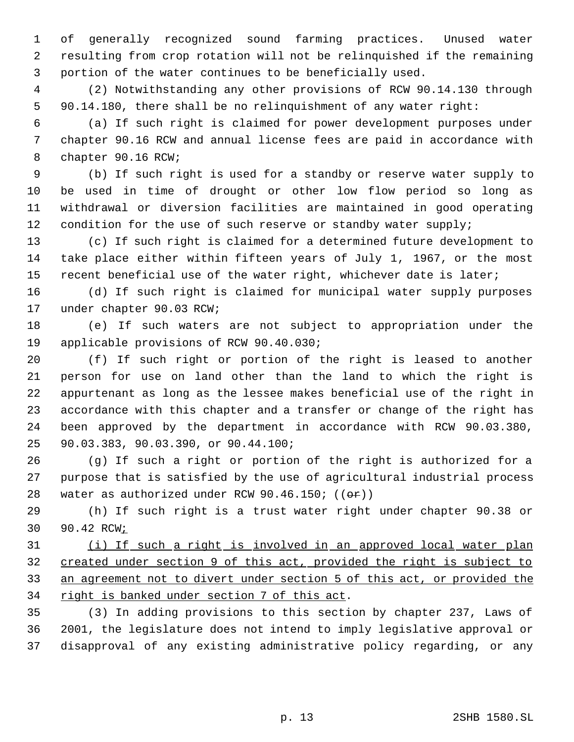of generally recognized sound farming practices. Unused water resulting from crop rotation will not be relinquished if the remaining portion of the water continues to be beneficially used.

 (2) Notwithstanding any other provisions of RCW 90.14.130 through 90.14.180, there shall be no relinquishment of any water right:

 (a) If such right is claimed for power development purposes under chapter 90.16 RCW and annual license fees are paid in accordance with chapter 90.16 RCW;

 (b) If such right is used for a standby or reserve water supply to be used in time of drought or other low flow period so long as withdrawal or diversion facilities are maintained in good operating 12 condition for the use of such reserve or standby water supply;

 (c) If such right is claimed for a determined future development to take place either within fifteen years of July 1, 1967, or the most recent beneficial use of the water right, whichever date is later;

 (d) If such right is claimed for municipal water supply purposes under chapter 90.03 RCW;

 (e) If such waters are not subject to appropriation under the applicable provisions of RCW 90.40.030;

 (f) If such right or portion of the right is leased to another person for use on land other than the land to which the right is appurtenant as long as the lessee makes beneficial use of the right in accordance with this chapter and a transfer or change of the right has been approved by the department in accordance with RCW 90.03.380, 90.03.383, 90.03.390, or 90.44.100;

 (g) If such a right or portion of the right is authorized for a purpose that is satisfied by the use of agricultural industrial process 28 water as authorized under RCW 90.46.150;  $((\theta \cdot \hat{r}))$ 

 (h) If such right is a trust water right under chapter 90.38 or 30 90.42 RCW<sub>i</sub>

 (i) If such a right is involved in an approved local water plan created under section 9 of this act, provided the right is subject to an agreement not to divert under section 5 of this act, or provided the 34 right is banked under section 7 of this act.

 (3) In adding provisions to this section by chapter 237, Laws of 2001, the legislature does not intend to imply legislative approval or disapproval of any existing administrative policy regarding, or any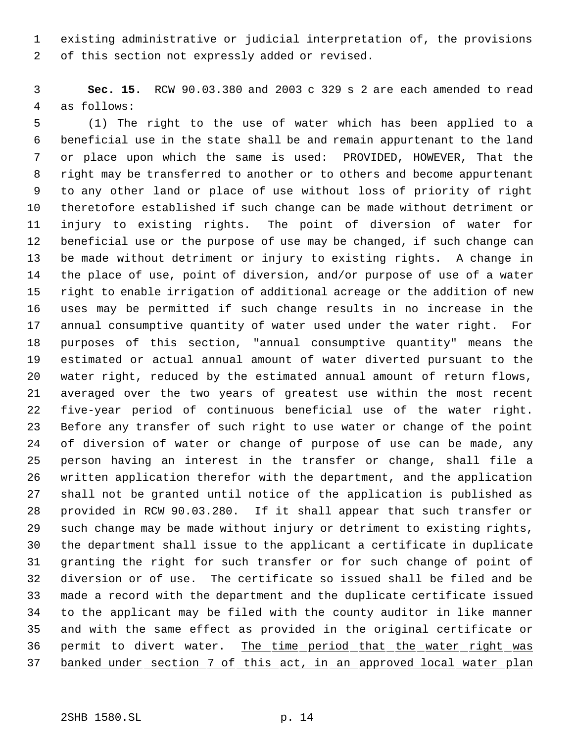existing administrative or judicial interpretation of, the provisions of this section not expressly added or revised.

 **Sec. 15.** RCW 90.03.380 and 2003 c 329 s 2 are each amended to read as follows:

 (1) The right to the use of water which has been applied to a beneficial use in the state shall be and remain appurtenant to the land or place upon which the same is used: PROVIDED, HOWEVER, That the right may be transferred to another or to others and become appurtenant to any other land or place of use without loss of priority of right theretofore established if such change can be made without detriment or injury to existing rights. The point of diversion of water for beneficial use or the purpose of use may be changed, if such change can be made without detriment or injury to existing rights. A change in the place of use, point of diversion, and/or purpose of use of a water right to enable irrigation of additional acreage or the addition of new uses may be permitted if such change results in no increase in the annual consumptive quantity of water used under the water right. For purposes of this section, "annual consumptive quantity" means the estimated or actual annual amount of water diverted pursuant to the water right, reduced by the estimated annual amount of return flows, averaged over the two years of greatest use within the most recent five-year period of continuous beneficial use of the water right. Before any transfer of such right to use water or change of the point of diversion of water or change of purpose of use can be made, any person having an interest in the transfer or change, shall file a written application therefor with the department, and the application shall not be granted until notice of the application is published as provided in RCW 90.03.280. If it shall appear that such transfer or such change may be made without injury or detriment to existing rights, the department shall issue to the applicant a certificate in duplicate granting the right for such transfer or for such change of point of diversion or of use. The certificate so issued shall be filed and be made a record with the department and the duplicate certificate issued to the applicant may be filed with the county auditor in like manner and with the same effect as provided in the original certificate or 36 permit to divert water. The time period that the water right was banked under section 7 of this act, in an approved local water plan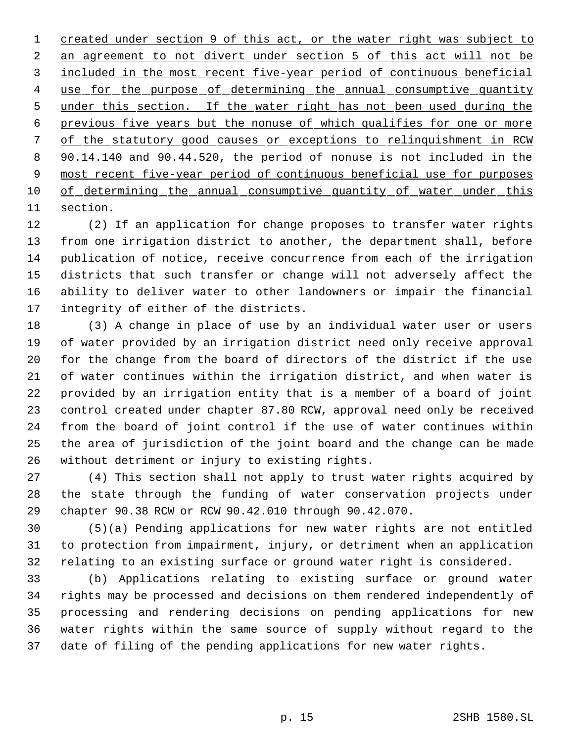created under section 9 of this act, or the water right was subject to 2 an agreement to not divert under section 5 of this act will not be included in the most recent five-year period of continuous beneficial 4 use for the purpose of determining the annual consumptive quantity 5 under this section. If the water right has not been used during the previous five years but the nonuse of which qualifies for one or more of the statutory good causes or exceptions to relinquishment in RCW 90.14.140 and 90.44.520, the period of nonuse is not included in the most recent five-year period of continuous beneficial use for purposes 10 of determining the annual consumptive quantity of water under this section.

 (2) If an application for change proposes to transfer water rights from one irrigation district to another, the department shall, before publication of notice, receive concurrence from each of the irrigation districts that such transfer or change will not adversely affect the ability to deliver water to other landowners or impair the financial integrity of either of the districts.

 (3) A change in place of use by an individual water user or users of water provided by an irrigation district need only receive approval for the change from the board of directors of the district if the use of water continues within the irrigation district, and when water is provided by an irrigation entity that is a member of a board of joint control created under chapter 87.80 RCW, approval need only be received from the board of joint control if the use of water continues within the area of jurisdiction of the joint board and the change can be made without detriment or injury to existing rights.

 (4) This section shall not apply to trust water rights acquired by the state through the funding of water conservation projects under chapter 90.38 RCW or RCW 90.42.010 through 90.42.070.

 (5)(a) Pending applications for new water rights are not entitled to protection from impairment, injury, or detriment when an application relating to an existing surface or ground water right is considered.

 (b) Applications relating to existing surface or ground water rights may be processed and decisions on them rendered independently of processing and rendering decisions on pending applications for new water rights within the same source of supply without regard to the date of filing of the pending applications for new water rights.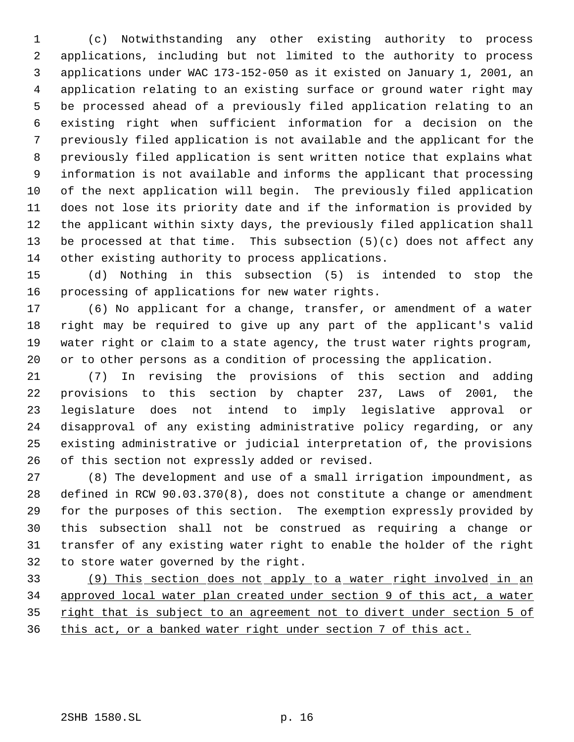(c) Notwithstanding any other existing authority to process applications, including but not limited to the authority to process applications under WAC 173-152-050 as it existed on January 1, 2001, an application relating to an existing surface or ground water right may be processed ahead of a previously filed application relating to an existing right when sufficient information for a decision on the previously filed application is not available and the applicant for the previously filed application is sent written notice that explains what information is not available and informs the applicant that processing of the next application will begin. The previously filed application does not lose its priority date and if the information is provided by the applicant within sixty days, the previously filed application shall be processed at that time. This subsection (5)(c) does not affect any other existing authority to process applications.

 (d) Nothing in this subsection (5) is intended to stop the processing of applications for new water rights.

 (6) No applicant for a change, transfer, or amendment of a water right may be required to give up any part of the applicant's valid water right or claim to a state agency, the trust water rights program, or to other persons as a condition of processing the application.

 (7) In revising the provisions of this section and adding provisions to this section by chapter 237, Laws of 2001, the legislature does not intend to imply legislative approval or disapproval of any existing administrative policy regarding, or any existing administrative or judicial interpretation of, the provisions of this section not expressly added or revised.

 (8) The development and use of a small irrigation impoundment, as defined in RCW 90.03.370(8), does not constitute a change or amendment for the purposes of this section. The exemption expressly provided by this subsection shall not be construed as requiring a change or transfer of any existing water right to enable the holder of the right to store water governed by the right.

 (9) This section does not apply to a water right involved in an approved local water plan created under section 9 of this act, a water 35 right that is subject to an agreement not to divert under section 5 of this act, or a banked water right under section 7 of this act.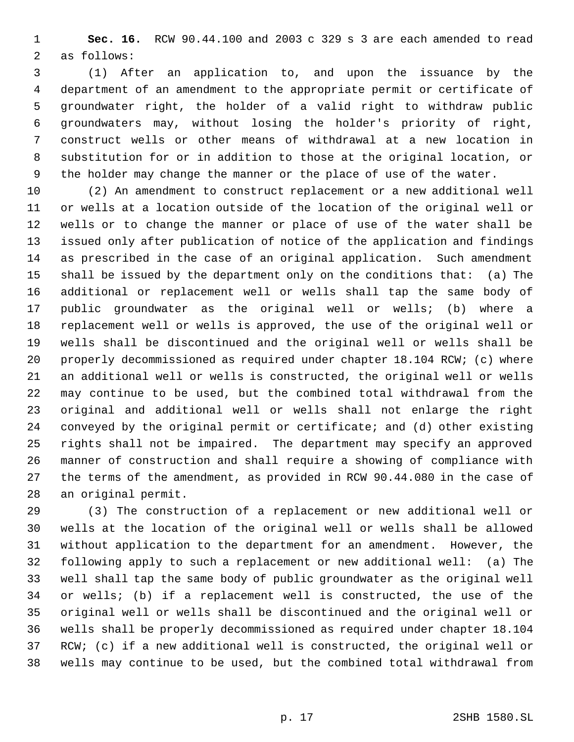**Sec. 16.** RCW 90.44.100 and 2003 c 329 s 3 are each amended to read as follows:

 (1) After an application to, and upon the issuance by the department of an amendment to the appropriate permit or certificate of groundwater right, the holder of a valid right to withdraw public groundwaters may, without losing the holder's priority of right, construct wells or other means of withdrawal at a new location in substitution for or in addition to those at the original location, or the holder may change the manner or the place of use of the water.

 (2) An amendment to construct replacement or a new additional well or wells at a location outside of the location of the original well or wells or to change the manner or place of use of the water shall be issued only after publication of notice of the application and findings as prescribed in the case of an original application. Such amendment shall be issued by the department only on the conditions that: (a) The additional or replacement well or wells shall tap the same body of public groundwater as the original well or wells; (b) where a replacement well or wells is approved, the use of the original well or wells shall be discontinued and the original well or wells shall be properly decommissioned as required under chapter 18.104 RCW; (c) where an additional well or wells is constructed, the original well or wells may continue to be used, but the combined total withdrawal from the original and additional well or wells shall not enlarge the right conveyed by the original permit or certificate; and (d) other existing rights shall not be impaired. The department may specify an approved manner of construction and shall require a showing of compliance with the terms of the amendment, as provided in RCW 90.44.080 in the case of an original permit.

 (3) The construction of a replacement or new additional well or wells at the location of the original well or wells shall be allowed without application to the department for an amendment. However, the following apply to such a replacement or new additional well: (a) The well shall tap the same body of public groundwater as the original well or wells; (b) if a replacement well is constructed, the use of the original well or wells shall be discontinued and the original well or wells shall be properly decommissioned as required under chapter 18.104 RCW; (c) if a new additional well is constructed, the original well or wells may continue to be used, but the combined total withdrawal from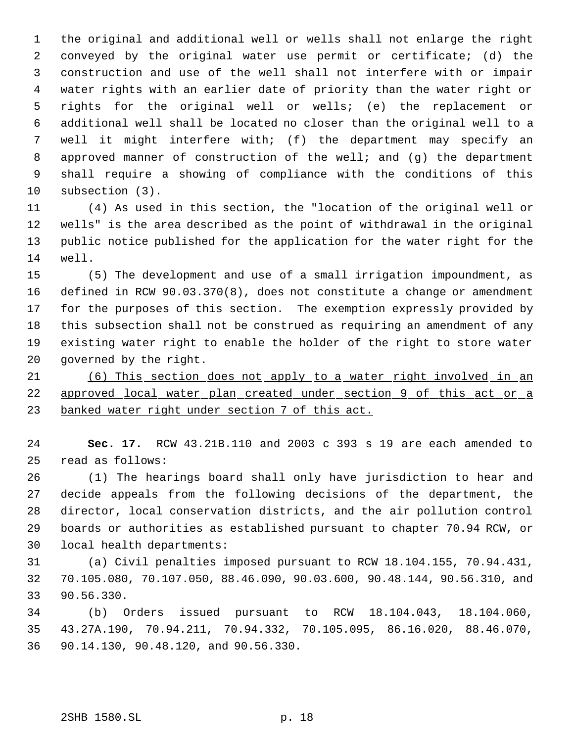the original and additional well or wells shall not enlarge the right conveyed by the original water use permit or certificate; (d) the construction and use of the well shall not interfere with or impair water rights with an earlier date of priority than the water right or rights for the original well or wells; (e) the replacement or additional well shall be located no closer than the original well to a well it might interfere with; (f) the department may specify an 8 approved manner of construction of the well; and (g) the department shall require a showing of compliance with the conditions of this subsection (3).

 (4) As used in this section, the "location of the original well or wells" is the area described as the point of withdrawal in the original public notice published for the application for the water right for the well.

 (5) The development and use of a small irrigation impoundment, as defined in RCW 90.03.370(8), does not constitute a change or amendment for the purposes of this section. The exemption expressly provided by this subsection shall not be construed as requiring an amendment of any existing water right to enable the holder of the right to store water governed by the right.

 (6) This section does not apply to a water right involved in an approved local water plan created under section 9 of this act or a banked water right under section 7 of this act.

 **Sec. 17.** RCW 43.21B.110 and 2003 c 393 s 19 are each amended to read as follows:

 (1) The hearings board shall only have jurisdiction to hear and decide appeals from the following decisions of the department, the director, local conservation districts, and the air pollution control boards or authorities as established pursuant to chapter 70.94 RCW, or local health departments:

 (a) Civil penalties imposed pursuant to RCW 18.104.155, 70.94.431, 70.105.080, 70.107.050, 88.46.090, 90.03.600, 90.48.144, 90.56.310, and 90.56.330.

 (b) Orders issued pursuant to RCW 18.104.043, 18.104.060, 43.27A.190, 70.94.211, 70.94.332, 70.105.095, 86.16.020, 88.46.070, 90.14.130, 90.48.120, and 90.56.330.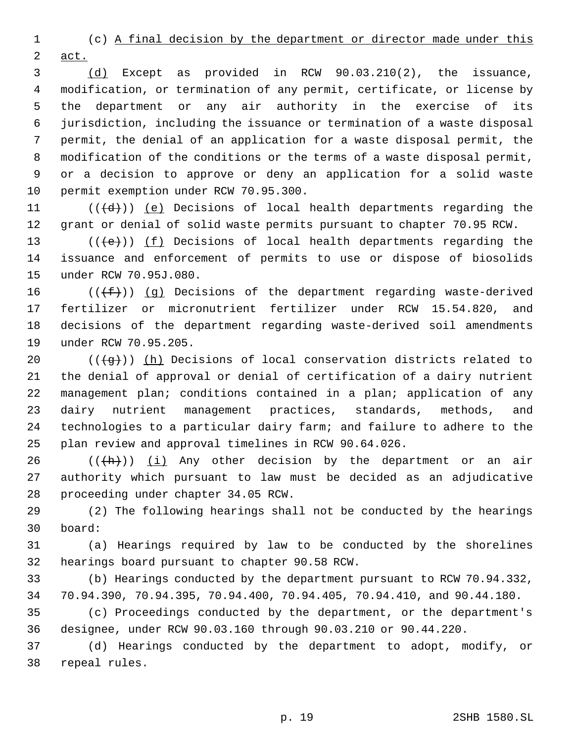(c) A final decision by the department or director made under this act.

 (d) Except as provided in RCW 90.03.210(2), the issuance, modification, or termination of any permit, certificate, or license by the department or any air authority in the exercise of its jurisdiction, including the issuance or termination of a waste disposal permit, the denial of an application for a waste disposal permit, the modification of the conditions or the terms of a waste disposal permit, or a decision to approve or deny an application for a solid waste permit exemption under RCW 70.95.300.

11 ( $(\overline{d})$ ) (e) Decisions of local health departments regarding the grant or denial of solid waste permits pursuant to chapter 70.95 RCW.

13 ( $(\overline{\left\langle e\right\rangle})$ ) <u>(f)</u> Decisions of local health departments regarding the issuance and enforcement of permits to use or dispose of biosolids under RCW 70.95J.080.

16 ( $(\{\text{f}\})$ ) (g) Decisions of the department regarding waste-derived fertilizer or micronutrient fertilizer under RCW 15.54.820, and decisions of the department regarding waste-derived soil amendments under RCW 70.95.205.

 $((\overline{g}))$  (h) Decisions of local conservation districts related to the denial of approval or denial of certification of a dairy nutrient management plan; conditions contained in a plan; application of any dairy nutrient management practices, standards, methods, and technologies to a particular dairy farm; and failure to adhere to the plan review and approval timelines in RCW 90.64.026.

26  $((+h))$   $(i)$  Any other decision by the department or an air authority which pursuant to law must be decided as an adjudicative proceeding under chapter 34.05 RCW.

 (2) The following hearings shall not be conducted by the hearings board:

 (a) Hearings required by law to be conducted by the shorelines hearings board pursuant to chapter 90.58 RCW.

 (b) Hearings conducted by the department pursuant to RCW 70.94.332, 70.94.390, 70.94.395, 70.94.400, 70.94.405, 70.94.410, and 90.44.180.

 (c) Proceedings conducted by the department, or the department's designee, under RCW 90.03.160 through 90.03.210 or 90.44.220.

 (d) Hearings conducted by the department to adopt, modify, or repeal rules.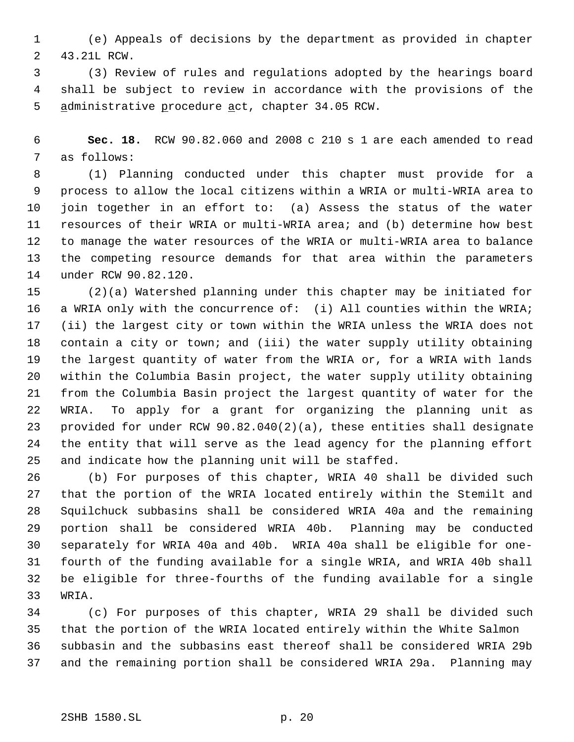(e) Appeals of decisions by the department as provided in chapter 43.21L RCW.

 (3) Review of rules and regulations adopted by the hearings board shall be subject to review in accordance with the provisions of the 5 administrative procedure act, chapter 34.05 RCW.

 **Sec. 18.** RCW 90.82.060 and 2008 c 210 s 1 are each amended to read as follows:

 (1) Planning conducted under this chapter must provide for a process to allow the local citizens within a WRIA or multi-WRIA area to join together in an effort to: (a) Assess the status of the water resources of their WRIA or multi-WRIA area; and (b) determine how best to manage the water resources of the WRIA or multi-WRIA area to balance the competing resource demands for that area within the parameters under RCW 90.82.120.

 (2)(a) Watershed planning under this chapter may be initiated for 16 a WRIA only with the concurrence of: (i) All counties within the WRIA; (ii) the largest city or town within the WRIA unless the WRIA does not contain a city or town; and (iii) the water supply utility obtaining the largest quantity of water from the WRIA or, for a WRIA with lands within the Columbia Basin project, the water supply utility obtaining from the Columbia Basin project the largest quantity of water for the WRIA. To apply for a grant for organizing the planning unit as provided for under RCW 90.82.040(2)(a), these entities shall designate the entity that will serve as the lead agency for the planning effort and indicate how the planning unit will be staffed.

 (b) For purposes of this chapter, WRIA 40 shall be divided such that the portion of the WRIA located entirely within the Stemilt and Squilchuck subbasins shall be considered WRIA 40a and the remaining portion shall be considered WRIA 40b. Planning may be conducted separately for WRIA 40a and 40b. WRIA 40a shall be eligible for one- fourth of the funding available for a single WRIA, and WRIA 40b shall be eligible for three-fourths of the funding available for a single WRIA.

 (c) For purposes of this chapter, WRIA 29 shall be divided such that the portion of the WRIA located entirely within the White Salmon subbasin and the subbasins east thereof shall be considered WRIA 29b and the remaining portion shall be considered WRIA 29a. Planning may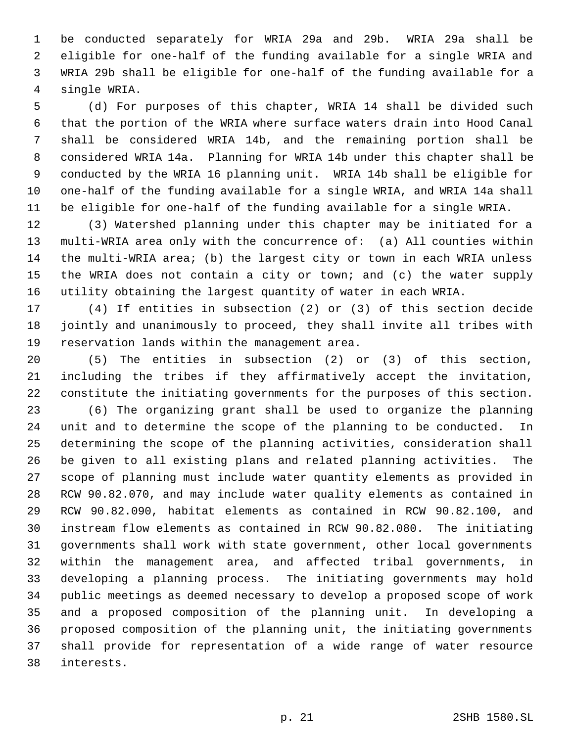be conducted separately for WRIA 29a and 29b. WRIA 29a shall be eligible for one-half of the funding available for a single WRIA and WRIA 29b shall be eligible for one-half of the funding available for a single WRIA.

 (d) For purposes of this chapter, WRIA 14 shall be divided such that the portion of the WRIA where surface waters drain into Hood Canal shall be considered WRIA 14b, and the remaining portion shall be considered WRIA 14a. Planning for WRIA 14b under this chapter shall be conducted by the WRIA 16 planning unit. WRIA 14b shall be eligible for one-half of the funding available for a single WRIA, and WRIA 14a shall be eligible for one-half of the funding available for a single WRIA.

 (3) Watershed planning under this chapter may be initiated for a multi-WRIA area only with the concurrence of: (a) All counties within the multi-WRIA area; (b) the largest city or town in each WRIA unless the WRIA does not contain a city or town; and (c) the water supply utility obtaining the largest quantity of water in each WRIA.

 (4) If entities in subsection (2) or (3) of this section decide jointly and unanimously to proceed, they shall invite all tribes with reservation lands within the management area.

 (5) The entities in subsection (2) or (3) of this section, including the tribes if they affirmatively accept the invitation, constitute the initiating governments for the purposes of this section.

 (6) The organizing grant shall be used to organize the planning unit and to determine the scope of the planning to be conducted. In determining the scope of the planning activities, consideration shall be given to all existing plans and related planning activities. The scope of planning must include water quantity elements as provided in RCW 90.82.070, and may include water quality elements as contained in RCW 90.82.090, habitat elements as contained in RCW 90.82.100, and instream flow elements as contained in RCW 90.82.080. The initiating governments shall work with state government, other local governments within the management area, and affected tribal governments, in developing a planning process. The initiating governments may hold public meetings as deemed necessary to develop a proposed scope of work and a proposed composition of the planning unit. In developing a proposed composition of the planning unit, the initiating governments shall provide for representation of a wide range of water resource interests.